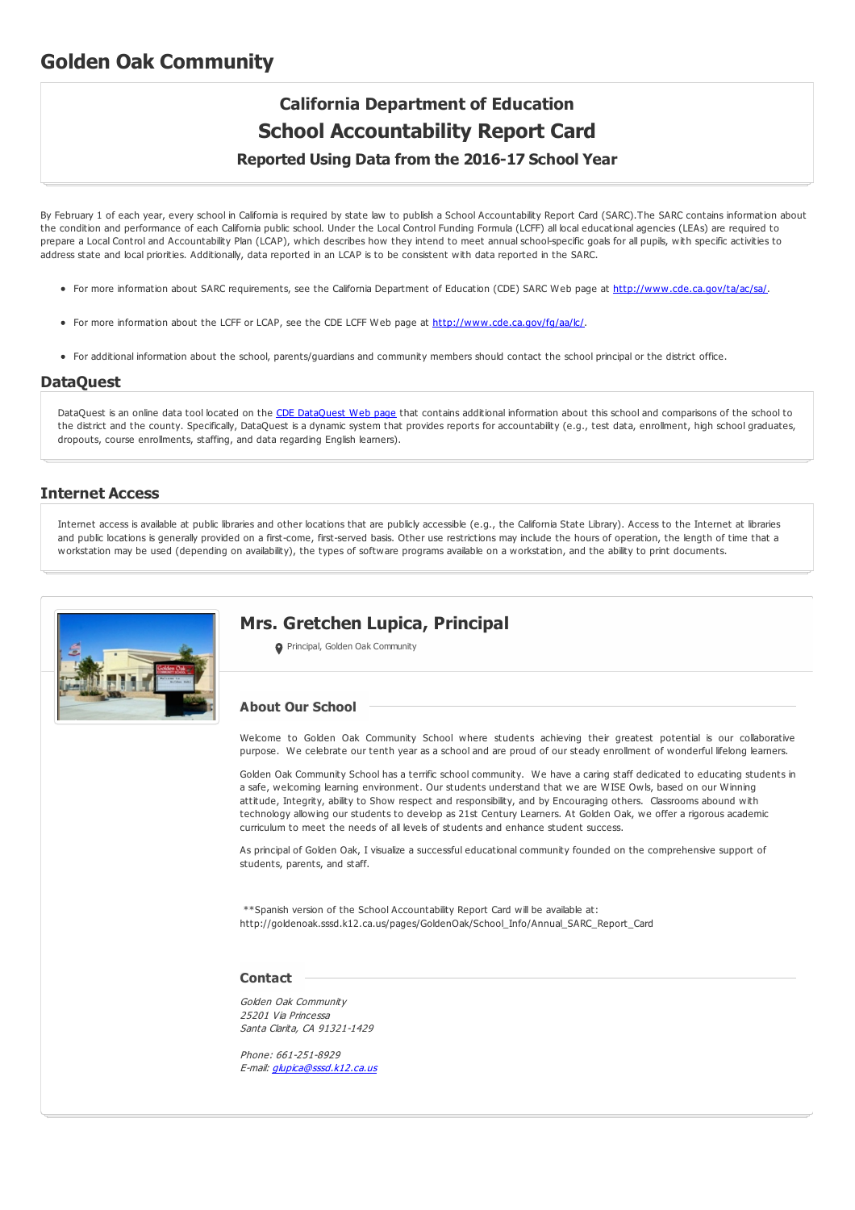# **Golden Oak Community**

# **California Department of Education School Accountability Report Card**

# **Reported Using Data from the 2016-17 School Year**

By February 1 of each year, every school in California is required by state law to publish a School Accountability Report Card (SARC).The SARC contains information about the condition and performance of each California public school. Under the Local Control Funding Formula (LCFF) all local educational agencies (LEAs) are required to prepare a Local Control and Accountability Plan (LCAP), which describes how they intend to meet annual school-specific goals for all pupils, with specific activities to address state and local priorities. Additionally, data reported in an LCAP is to be consistent with data reported in the SARC.

- For more information about SARC requirements, see the California Department of Education (CDE) SARC Web page at <http://www.cde.ca.gov/ta/ac/sa/>.
- For more information about the LCFF or LCAP, see the CDE LCFF Web page at <http://www.cde.ca.gov/fg/aa/lc/>.
- For additional information about the school, parents/guardians and community members should contact the school principal or the district office.

# **DataQuest**

[DataQuest](http://dq.cde.ca.gov/dataquest/) is an online data tool located on the CDE DataQuest Web page that contains additional information about this school and comparisons of the school to the district and the county. Specifically, DataQuest is a dynamic system that provides reports for accountability (e.g., test data, enrollment, high school graduates, dropouts, course enrollments, staffing, and data regarding English learners).

## **Internet Access**

Internet access is available at public libraries and other locations that are publicly accessible (e.g., the California State Library). Access to the Internet at libraries and public locations is generally provided on a first-come, first-served basis. Other use restrictions may include the hours of operation, the length of time that a workstation may be used (depending on availability), the types of software programs available on a workstation, and the ability to print documents.



# **Mrs. Gretchen Lupica, Principal**

**O** Principal, Golden Oak Community

#### **About Our School**

Welcome to Golden Oak Community School where students achieving their greatest potential is our collaborative purpose. We celebrate our tenth year as a school and are proud of our steady enrollment of wonderful lifelong learners.

Golden Oak Community School has a terrific school community. We have a caring staff dedicated to educating students in a safe, welcoming learning environment. Our students understand that we are WISE Owls, based on our Winning attitude, Integrity, ability to Show respect and responsibility, and by Encouraging others. Classrooms abound with technology allowing our students to develop as 21st Century Learners. At Golden Oak, we offer a rigorous academic curriculum to meet the needs of all levels of students and enhance student success.

As principal of Golden Oak, I visualize a successful educational community founded on the comprehensive support of students, parents, and staff.

\*\*Spanish version of the School Accountability Report Card will be available at: http://goldenoak.sssd.k12.ca.us/pages/GoldenOak/School\_Info/Annual\_SARC\_Report\_Card

#### **Contact**

Golden Oak Community 25201 Via Princessa Santa Clarita, CA 91321-1429

Phone: 661-251-8929 E-mail: [glupica@sssd.k12.ca.us](mailto:glupica@sssd.k12.ca.us)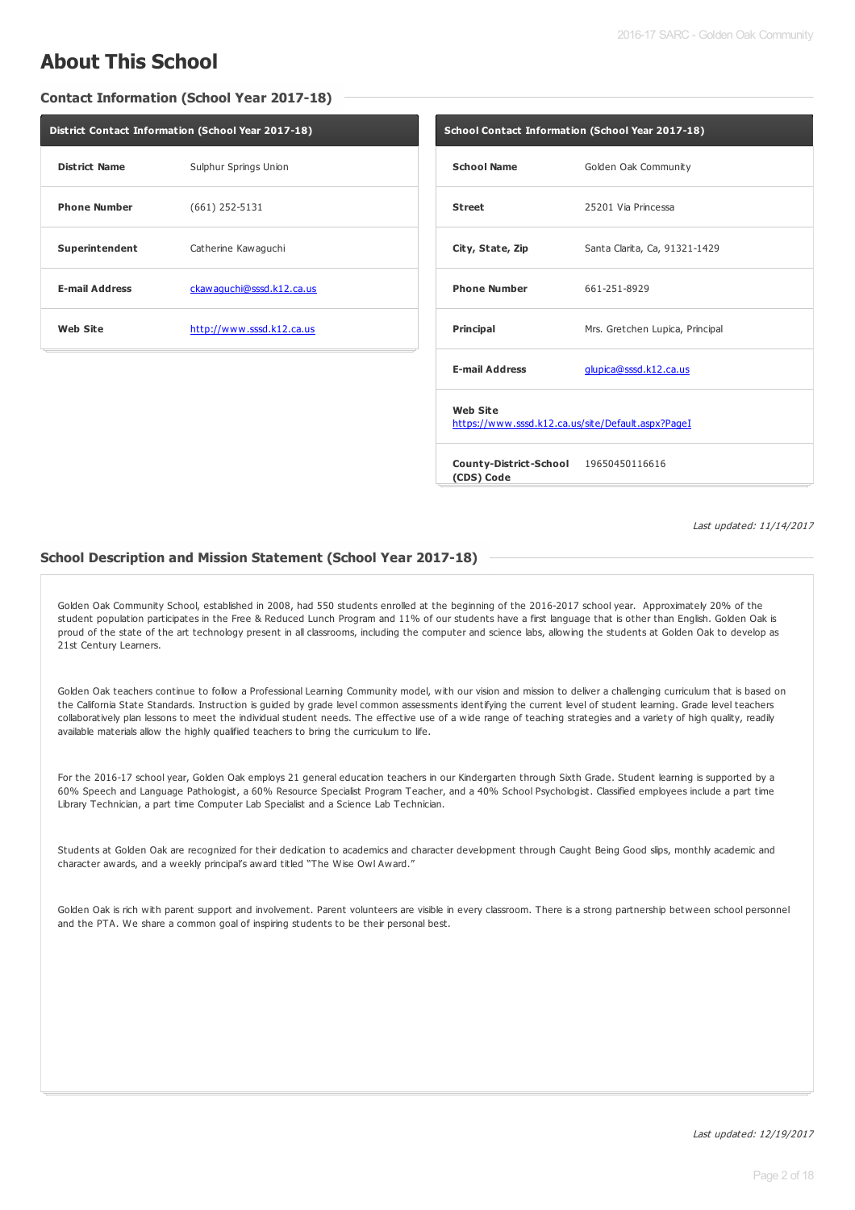# **About This School**

**Contact Information (School Year 2017-18)**

| District Contact Information (School Year 2017-18) |                           |  |  |  |
|----------------------------------------------------|---------------------------|--|--|--|
| <b>District Name</b>                               | Sulphur Springs Union     |  |  |  |
| <b>Phone Number</b>                                | $(661)$ 252-5131          |  |  |  |
| Superintendent                                     | Catherine Kawaguchi       |  |  |  |
| <b>E-mail Address</b>                              | ckawaquchi@sssd.k12.ca.us |  |  |  |
| <b>Web Site</b>                                    | http://www.sssd.k12.ca.us |  |  |  |

| School Contact Information (School Year 2017-18)                      |                                 |  |  |  |
|-----------------------------------------------------------------------|---------------------------------|--|--|--|
| <b>School Name</b>                                                    | Golden Oak Community            |  |  |  |
| <b>Street</b>                                                         | 25201 Via Princessa             |  |  |  |
| City, State, Zip                                                      | Santa Clarita, Ca, 91321-1429   |  |  |  |
| <b>Phone Number</b>                                                   | 661-251-8929                    |  |  |  |
| <b>Principal</b>                                                      | Mrs. Gretchen Lupica, Principal |  |  |  |
| <b>E-mail Address</b>                                                 | glupica@sssd.k12.ca.us          |  |  |  |
| <b>Web Site</b><br>https://www.sssd.k12.ca.us/site/Default.aspx?PageI |                                 |  |  |  |
| County-District-School 19650450116616<br>(CDS) Code                   |                                 |  |  |  |

Last updated: 11/14/2017

#### **School Description and Mission Statement (School Year 2017-18)**

Golden Oak Community School, established in 2008, had 550 students enrolled at the beginning of the 2016-2017 school year. Approximately 20% of the student population participates in the Free & Reduced Lunch Program and 11% of our students have a first language that is other than English. Golden Oak is proud of the state of the art technology present in all classrooms, including the computer and science labs, allowing the students at Golden Oak to develop as 21st Century Learners.

Golden Oak teachers continue to follow a Professional Learning Community model, with our vision and mission to deliver a challenging curriculum that is based on the California State Standards. Instruction is guided by grade level common assessments identifying the current level of student learning. Grade level teachers collaboratively plan lessons to meet the individual student needs. The effective use of a wide range of teaching strategies and a variety of high quality, readily available materials allow the highly qualified teachers to bring the curriculum to life.

For the 2016-17 school year, Golden Oak employs 21 general education teachers in our Kindergarten through Sixth Grade. Student learning is supported by a 60% Speech and Language Pathologist, a 60% Resource Specialist Program Teacher, and a 40% School Psychologist. Classified employees include a part time Library Technician, a part time Computer Lab Specialist and a Science Lab Technician.

Students at Golden Oak are recognized for their dedication to academics and character development through Caught Being Good slips, monthly academic and character awards, and a weekly principal's award titled "The Wise Owl Award."

Golden Oak is rich with parent support and involvement. Parent volunteers are visible in every classroom. There is a strong partnership between school personnel and the PTA. We share a common goal of inspiring students to be their personal best.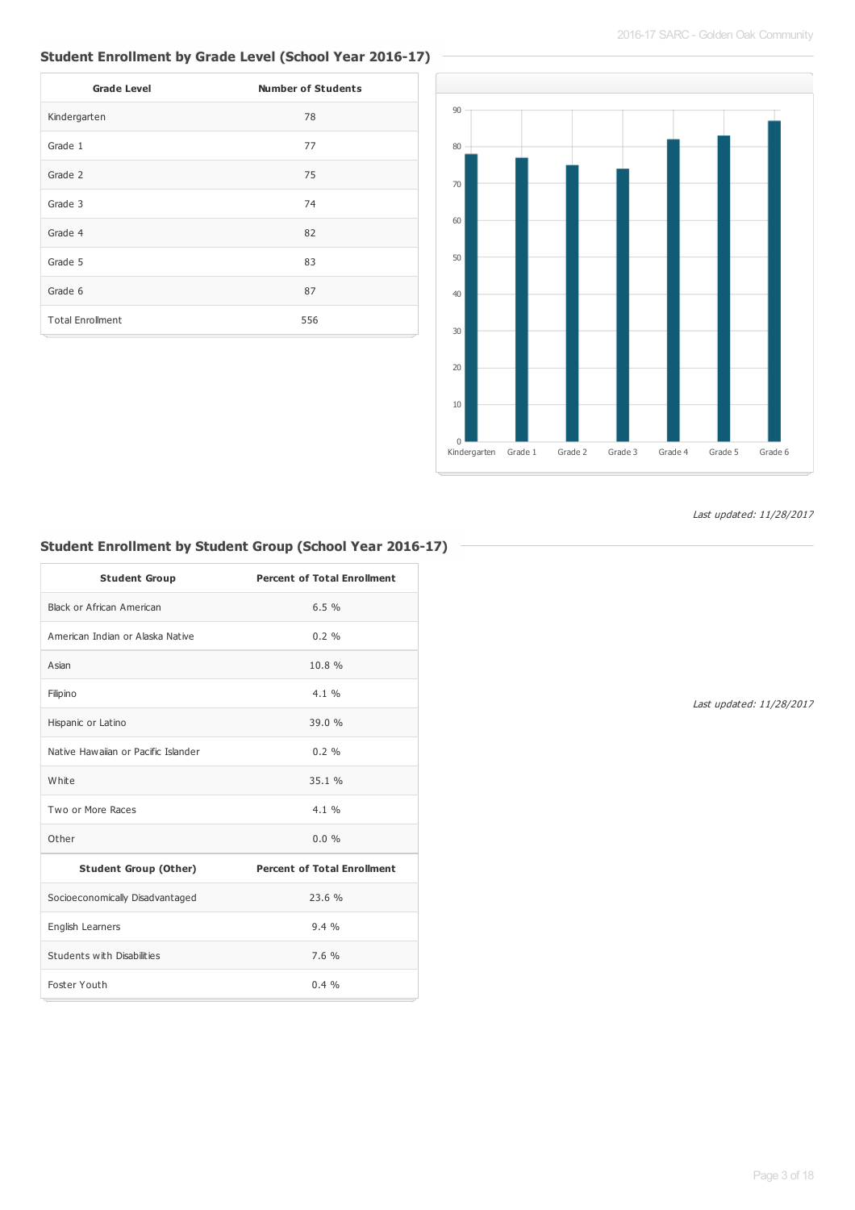## **Student Enrollment by Grade Level (School Year 2016-17)**

| <b>Grade Level</b>      | <b>Number of Students</b> |
|-------------------------|---------------------------|
| Kindergarten            | 78                        |
| Grade 1                 | 77                        |
| Grade 2                 | 75                        |
| Grade 3                 | 74                        |
| Grade 4                 | 82                        |
| Grade 5                 | 83                        |
| Grade 6                 | 87                        |
| <b>Total Enrollment</b> | 556                       |



Last updated: 11/28/2017

## **Student Enrollment by Student Group (School Year 2016-17)**

| <b>Student Group</b>                | <b>Percent of Total Enrollment</b> |
|-------------------------------------|------------------------------------|
| Black or African American           | 6.5%                               |
| American Indian or Alaska Native    | $0.2 \%$                           |
| Asian                               | 10.8%                              |
| Filipino                            | 4.1%                               |
| Hispanic or Latino                  | 39.0 %                             |
| Native Hawaiian or Pacific Islander | $0.2 \%$                           |
| White                               | 35.1%                              |
| Two or More Races                   | 4.1%                               |
| Other                               | $0.0\%$                            |
| <b>Student Group (Other)</b>        | <b>Percent of Total Enrollment</b> |
| Socioeconomically Disadvantaged     | 23.6%                              |
| English Learners                    | 9.4%                               |
| Students with Disabilities          | 7.6%                               |
| Foster Youth                        | $0.4\%$                            |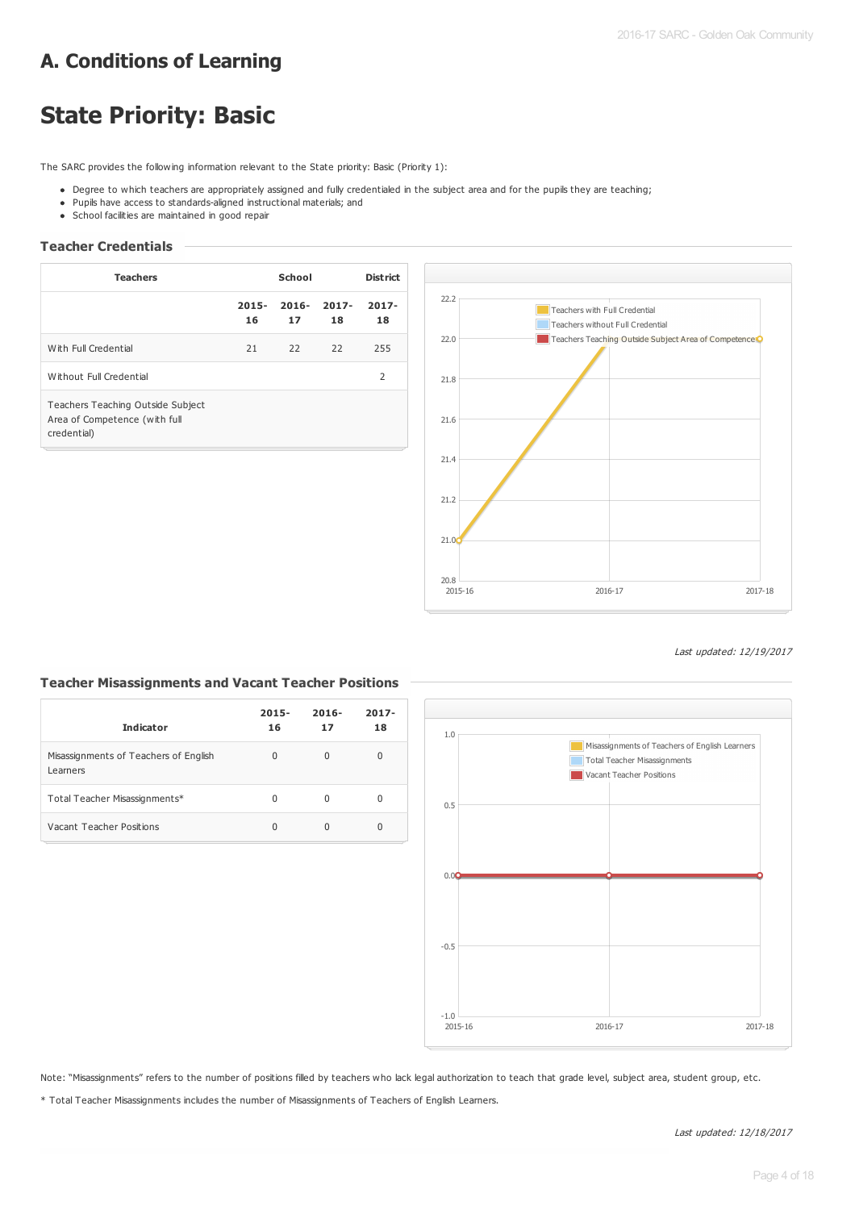# **A. Conditions of Learning**

# **State Priority: Basic**

The SARC provides the following information relevant to the State priority: Basic (Priority 1):

- . Degree to which teachers are appropriately assigned and fully credentialed in the subject area and for the pupils they are teaching;
- Pupils have access to standards-aligned instructional materials; and
- School facilities are maintained in good repair

## **Teacher Credentials**

| <b>Teachers</b>                                                                   | School         |                |                | <b>District</b> |  |
|-----------------------------------------------------------------------------------|----------------|----------------|----------------|-----------------|--|
|                                                                                   | $2015 -$<br>16 | $2016 -$<br>17 | $2017 -$<br>18 | $2017 -$<br>18  |  |
| With Full Credential                                                              | 21             | 22             | 22             | 255             |  |
| Without Full Credential                                                           |                |                |                | 2               |  |
| Teachers Teaching Outside Subject<br>Area of Competence (with full<br>credential) |                |                |                |                 |  |



#### Last updated: 12/19/2017

### **Teacher Misassignments and Vacant Teacher Positions**

| <b>Indicator</b>                                  | $2015 -$<br>16 | $2016 -$<br>17 | $2017 -$<br>18 |
|---------------------------------------------------|----------------|----------------|----------------|
| Misassignments of Teachers of English<br>Learners | 0              | 0              | 0              |
| Total Teacher Misassignments*                     | U              | U              | 0              |
| Vacant Teacher Positions                          | 0              |                | 0              |



Note: "Misassignments" refers to the number of positions filled by teachers who lack legal authorization to teach that grade level, subject area, student group, etc.

\* Total Teacher Misassignments includes the number of Misassignments of Teachers of English Learners.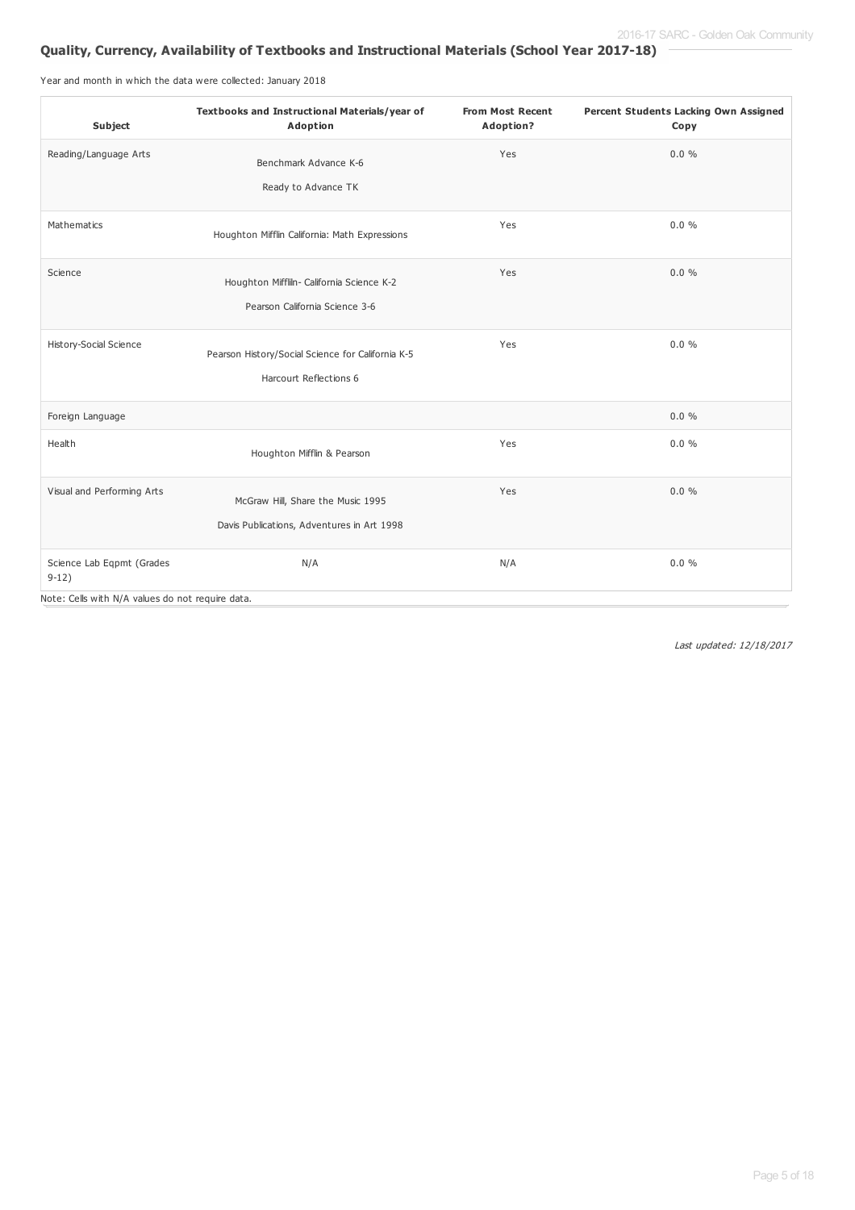# **Quality, Currency, Availability of Textbooks and Instructional Materials (School Year 2017-18)**

Year and month in which the data were collected: January 2018

| Subject                                          | Textbooks and Instructional Materials/year of<br>Adoption | <b>From Most Recent</b><br>Adoption? | Percent Students Lacking Own Assigned<br>Copy |
|--------------------------------------------------|-----------------------------------------------------------|--------------------------------------|-----------------------------------------------|
| Reading/Language Arts                            | Benchmark Advance K-6<br>Ready to Advance TK              | Yes                                  | $0.0 \%$                                      |
|                                                  |                                                           |                                      |                                               |
| Mathematics                                      | Houghton Mifflin California: Math Expressions             | Yes                                  | $0.0 \%$                                      |
| Science                                          | Houghton Mifflin- California Science K-2                  | Yes                                  | $0.0 \%$                                      |
|                                                  | Pearson California Science 3-6                            |                                      |                                               |
| <b>History-Social Science</b>                    | Pearson History/Social Science for California K-5         | Yes                                  | $0.0 \%$                                      |
|                                                  | Harcourt Reflections 6                                    |                                      |                                               |
| Foreign Language                                 |                                                           |                                      | $0.0 \%$                                      |
| Health                                           | Houghton Mifflin & Pearson                                | Yes                                  | 0.0%                                          |
| Visual and Performing Arts                       | McGraw Hill, Share the Music 1995                         | Yes                                  | $0.0 \%$                                      |
|                                                  | Davis Publications, Adventures in Art 1998                |                                      |                                               |
| Science Lab Eqpmt (Grades<br>$9-12)$             | N/A                                                       | N/A                                  | $0.0 \%$                                      |
| Note: Cells with N/A values do not require data. |                                                           |                                      |                                               |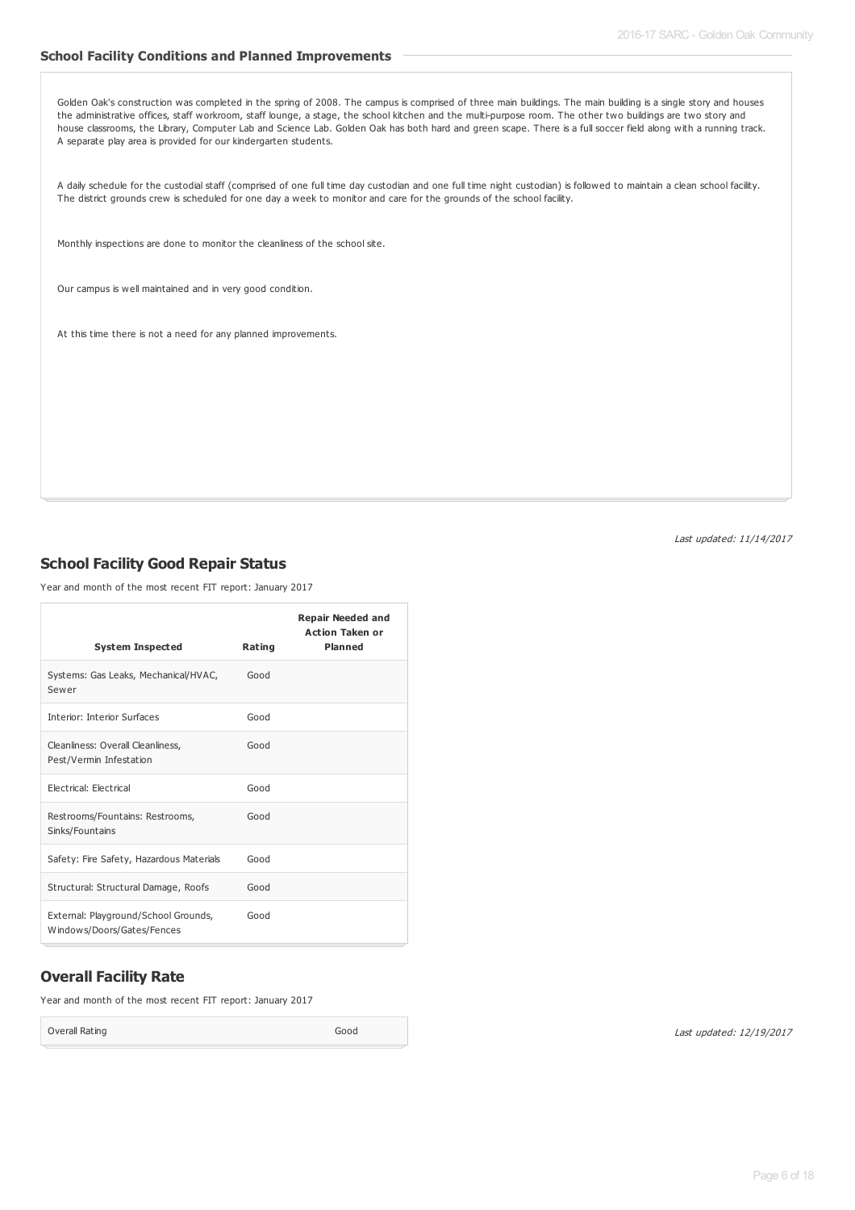#### **School Facility Conditions and Planned Improvements**

Golden Oak's construction was completed in the spring of 2008. The campus is comprised of three main buildings. The main building is a single story and houses the administrative offices, staff workroom, staff lounge, a stage, the school kitchen and the multi-purpose room. The other two buildings are two story and house classrooms, the Library, Computer Lab and Science Lab. Golden Oak has both hard and green scape. There is a full soccer field along with a running track. A separate play area is provided for our kindergarten students.

A daily schedule for the custodial staff (comprised of one full time day custodian and one full time night custodian) is followed to maintain a clean school facility. The district grounds crew is scheduled for one day a week to monitor and care for the grounds of the school facility.

Monthly inspections are done to monitor the cleanliness of the school site.

Our campus is well maintained and in very good condition.

At this time there is not a need for any planned improvements.

Last updated: 11/14/2017

### **School Facility Good Repair Status**

Year and month of the most recent FIT report: January 2017

| <b>System Inspected</b>                                            | Rating | <b>Repair Needed and</b><br><b>Action Taken or</b><br><b>Planned</b> |
|--------------------------------------------------------------------|--------|----------------------------------------------------------------------|
| Systems: Gas Leaks, Mechanical/HVAC,<br>Sewer                      | Good   |                                                                      |
| <b>Interior: Interior Surfaces</b>                                 | Good   |                                                                      |
| Cleanliness: Overall Cleanliness,<br>Pest/Vermin Infestation       | Good   |                                                                      |
| Electrical: Electrical                                             | Good   |                                                                      |
| Restrooms/Fountains: Restrooms,<br>Sinks/Fountains                 | Good   |                                                                      |
| Safety: Fire Safety, Hazardous Materials                           | Good   |                                                                      |
| Structural: Structural Damage, Roofs                               | Good   |                                                                      |
| External: Playground/School Grounds,<br>Windows/Doors/Gates/Fences | Good   |                                                                      |

## **Overall Facility Rate**

Year and month of the most recent FIT report: January 2017

Overall Rating Good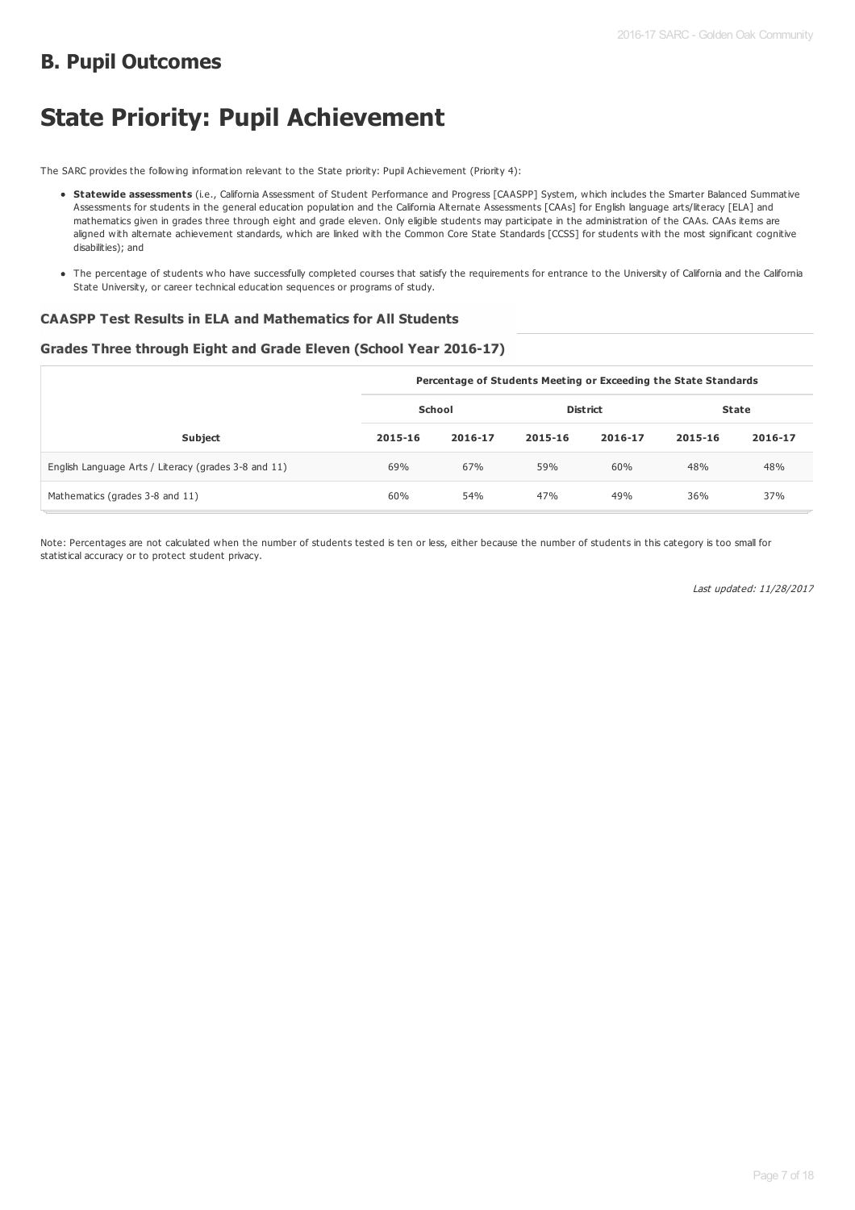# **B. Pupil Outcomes**

# **State Priority: Pupil Achievement**

The SARC provides the following information relevant to the State priority: Pupil Achievement (Priority 4):

- **Statewide assessments** (i.e., California Assessment of Student Performance and Progress [CAASPP] System, which includes the Smarter Balanced Summative Assessments for students in the general education population and the California Alternate Assessments [CAAs] for English language arts/literacy [ELA] and mathematics given in grades three through eight and grade eleven. Only eligible students may participate in the administration of the CAAs. CAAs items are aligned with alternate achievement standards, which are linked with the Common Core State Standards [CCSS] for students with the most significant cognitive disabilities); and
- The percentage of students who have successfully completed courses that satisfy the requirements for entrance to the University of California and the California State University, or career technical education sequences or programs of study.

#### **CAASPP Test Results in ELA and Mathematics for All Students**

#### **Grades Three through Eight and Grade Eleven (School Year 2016-17)**

|                                                      |         | Percentage of Students Meeting or Exceeding the State Standards |                 |         |              |         |  |  |
|------------------------------------------------------|---------|-----------------------------------------------------------------|-----------------|---------|--------------|---------|--|--|
|                                                      | School  |                                                                 | <b>District</b> |         | <b>State</b> |         |  |  |
| <b>Subject</b>                                       | 2015-16 | 2016-17                                                         | 2015-16         | 2016-17 | 2015-16      | 2016-17 |  |  |
| English Language Arts / Literacy (grades 3-8 and 11) | 69%     | 67%                                                             | 59%             | 60%     | 48%          | 48%     |  |  |
| Mathematics (grades 3-8 and 11)                      | 60%     | 54%                                                             | 47%             | 49%     | 36%          | 37%     |  |  |

Note: Percentages are not calculated when the number of students tested is ten or less, either because the number of students in this category is too small for statistical accuracy or to protect student privacy.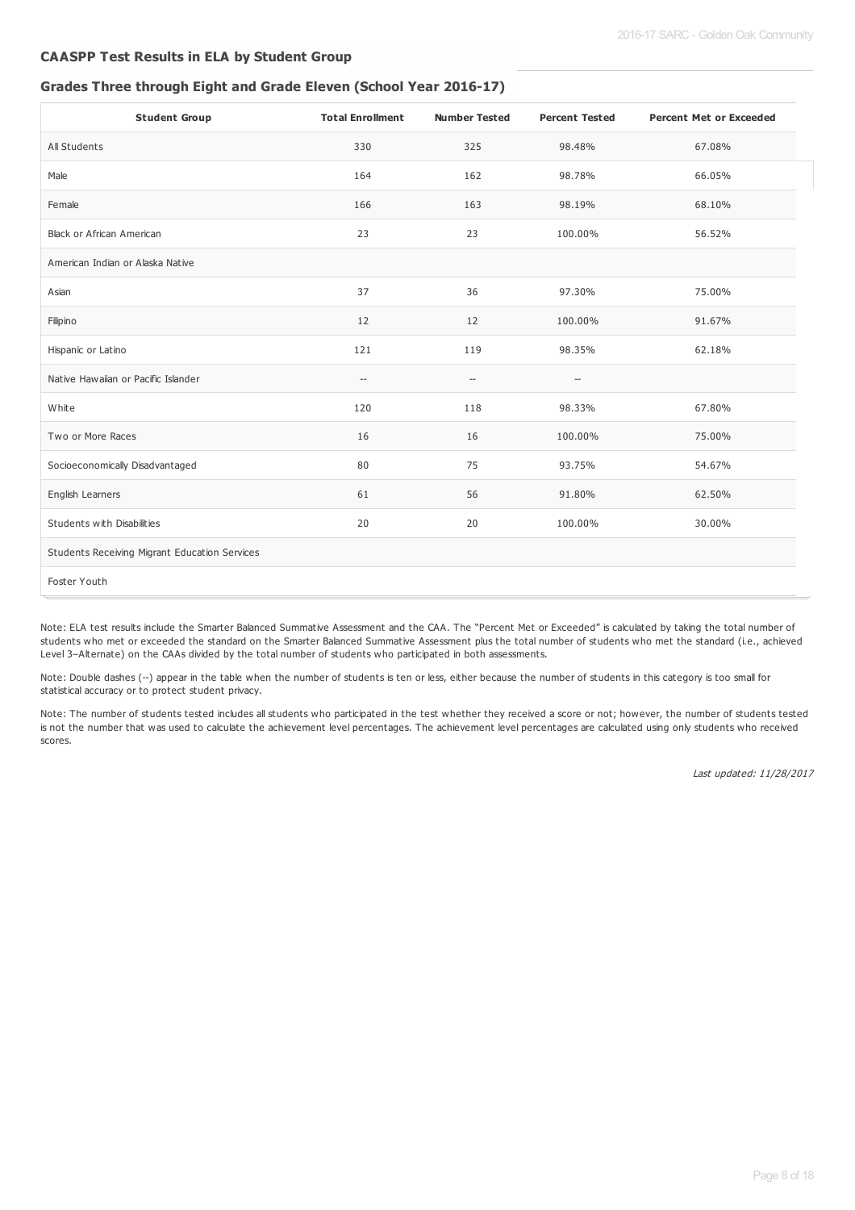### **CAASPP Test Results in ELA by Student Group**

#### **Grades Three through Eight and Grade Eleven (School Year 2016-17)**

| <b>Student Group</b>                          | <b>Total Enrollment</b>            | <b>Number Tested</b>                                | <b>Percent Tested</b>                               | <b>Percent Met or Exceeded</b> |
|-----------------------------------------------|------------------------------------|-----------------------------------------------------|-----------------------------------------------------|--------------------------------|
| All Students                                  | 330                                | 325                                                 | 98.48%                                              | 67.08%                         |
| Male                                          | 164                                | 162                                                 | 98.78%                                              | 66.05%                         |
| Female                                        | 166                                | 163                                                 | 98.19%                                              | 68.10%                         |
| <b>Black or African American</b>              | 23                                 | 23                                                  | 100.00%                                             | 56.52%                         |
| American Indian or Alaska Native              |                                    |                                                     |                                                     |                                |
| Asian                                         | 37                                 | 36                                                  | 97.30%                                              | 75.00%                         |
| Filipino                                      | 12                                 | 12                                                  | 100.00%                                             | 91.67%                         |
| Hispanic or Latino                            | 121                                | 119                                                 | 98.35%                                              | 62.18%                         |
| Native Hawaiian or Pacific Islander           | $\hspace{0.05cm} -\hspace{0.05cm}$ | $\hspace{0.05cm} -\hspace{0.05cm} -\hspace{0.05cm}$ | $\hspace{0.05cm} -\hspace{0.05cm} -\hspace{0.05cm}$ |                                |
| White                                         | 120                                | 118                                                 | 98.33%                                              | 67.80%                         |
| Two or More Races                             | 16                                 | 16                                                  | 100.00%                                             | 75.00%                         |
| Socioeconomically Disadvantaged               | 80                                 | 75                                                  | 93.75%                                              | 54.67%                         |
| English Learners                              | 61                                 | 56                                                  | 91.80%                                              | 62.50%                         |
| Students with Disabilities                    | 20                                 | 20                                                  | 100.00%                                             | 30.00%                         |
| Students Receiving Migrant Education Services |                                    |                                                     |                                                     |                                |
| Foster Youth                                  |                                    |                                                     |                                                     |                                |

Note: ELA test results include the Smarter Balanced Summative Assessment and the CAA. The "Percent Met or Exceeded" is calculated by taking the total number of students who met or exceeded the standard on the Smarter Balanced Summative Assessment plus the total number of students who met the standard (i.e., achieved Level 3–Alternate) on the CAAs divided by the total number of students who participated in both assessments.

Note: Double dashes (--) appear in the table when the number of students is ten or less, either because the number of students in this category is too small for statistical accuracy or to protect student privacy.

Note: The number of students tested includes all students who participated in the test whether they received a score or not; however, the number of students tested is not the number that was used to calculate the achievement level percentages. The achievement level percentages are calculated using only students who received scores.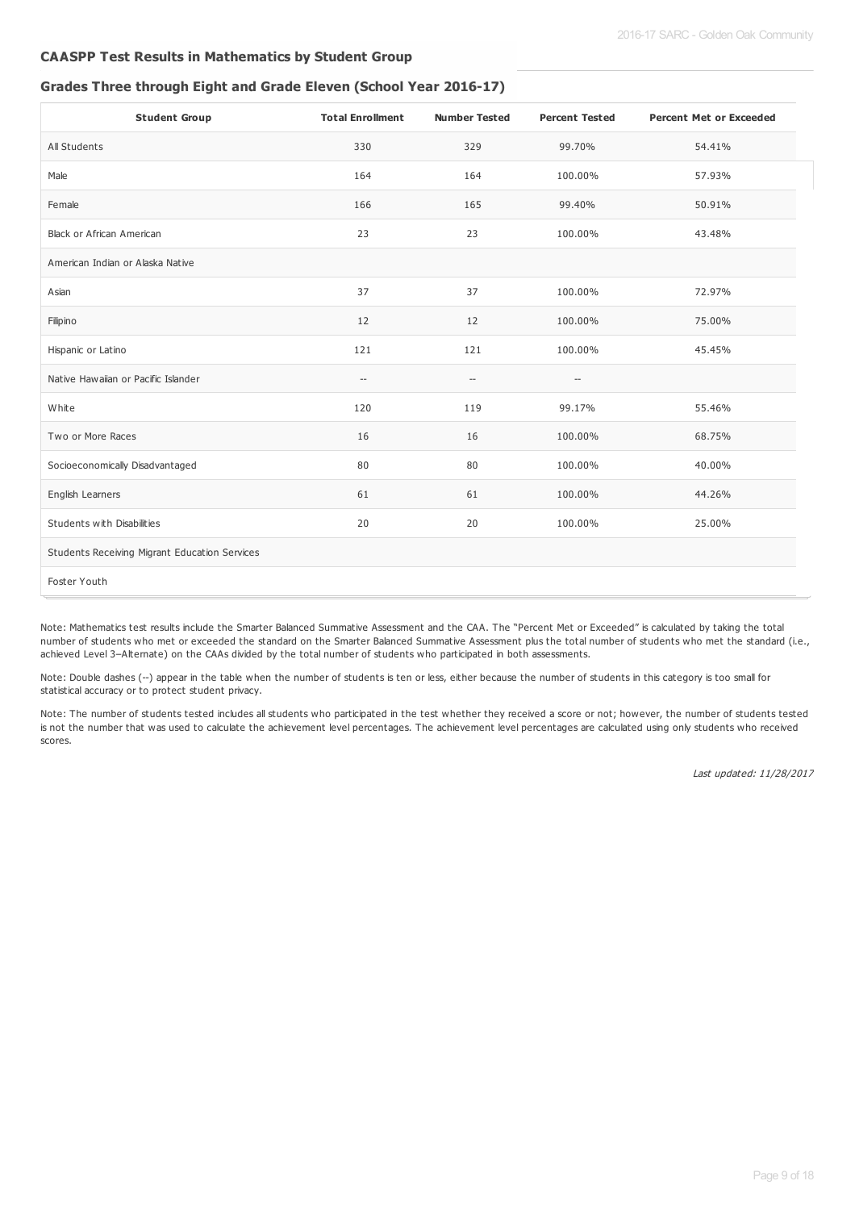## **CAASPP Test Results in Mathematics by Student Group**

## **Grades Three through Eight and Grade Eleven (School Year 2016-17)**

| <b>Student Group</b>                          | <b>Total Enrollment</b>                             | <b>Number Tested</b> | <b>Percent Tested</b> | <b>Percent Met or Exceeded</b> |
|-----------------------------------------------|-----------------------------------------------------|----------------------|-----------------------|--------------------------------|
| All Students                                  | 330                                                 | 329                  | 99.70%                | 54.41%                         |
| Male                                          | 164                                                 | 164                  | 100.00%               | 57.93%                         |
| Female                                        | 166                                                 | 165                  | 99.40%                | 50.91%                         |
| <b>Black or African American</b>              | 23                                                  | 23                   | 100.00%               | 43.48%                         |
| American Indian or Alaska Native              |                                                     |                      |                       |                                |
| Asian                                         | 37                                                  | 37                   | 100.00%               | 72.97%                         |
| Filipino                                      | 12                                                  | 12                   | 100.00%               | 75.00%                         |
| Hispanic or Latino                            | 121                                                 | 121                  | 100.00%               | 45.45%                         |
| Native Hawaiian or Pacific Islander           | $\hspace{0.05cm} -\hspace{0.05cm} -\hspace{0.05cm}$ | --                   | --                    |                                |
| White                                         | 120                                                 | 119                  | 99.17%                | 55.46%                         |
| Two or More Races                             | 16                                                  | 16                   | 100.00%               | 68.75%                         |
| Socioeconomically Disadvantaged               | 80                                                  | 80                   | 100.00%               | 40.00%                         |
| English Learners                              | 61                                                  | 61                   | 100.00%               | 44.26%                         |
| Students with Disabilities                    | 20                                                  | 20                   | 100.00%               | 25.00%                         |
| Students Receiving Migrant Education Services |                                                     |                      |                       |                                |
| Foster Youth                                  |                                                     |                      |                       |                                |

Note: Mathematics test results include the Smarter Balanced Summative Assessment and the CAA. The "Percent Met or Exceeded" is calculated by taking the total number of students who met or exceeded the standard on the Smarter Balanced Summative Assessment plus the total number of students who met the standard (i.e., achieved Level 3–Alternate) on the CAAs divided by the total number of students who participated in both assessments.

Note: Double dashes (--) appear in the table when the number of students is ten or less, either because the number of students in this category is too small for statistical accuracy or to protect student privacy.

Note: The number of students tested includes all students who participated in the test whether they received a score or not; however, the number of students tested is not the number that was used to calculate the achievement level percentages. The achievement level percentages are calculated using only students who received scores.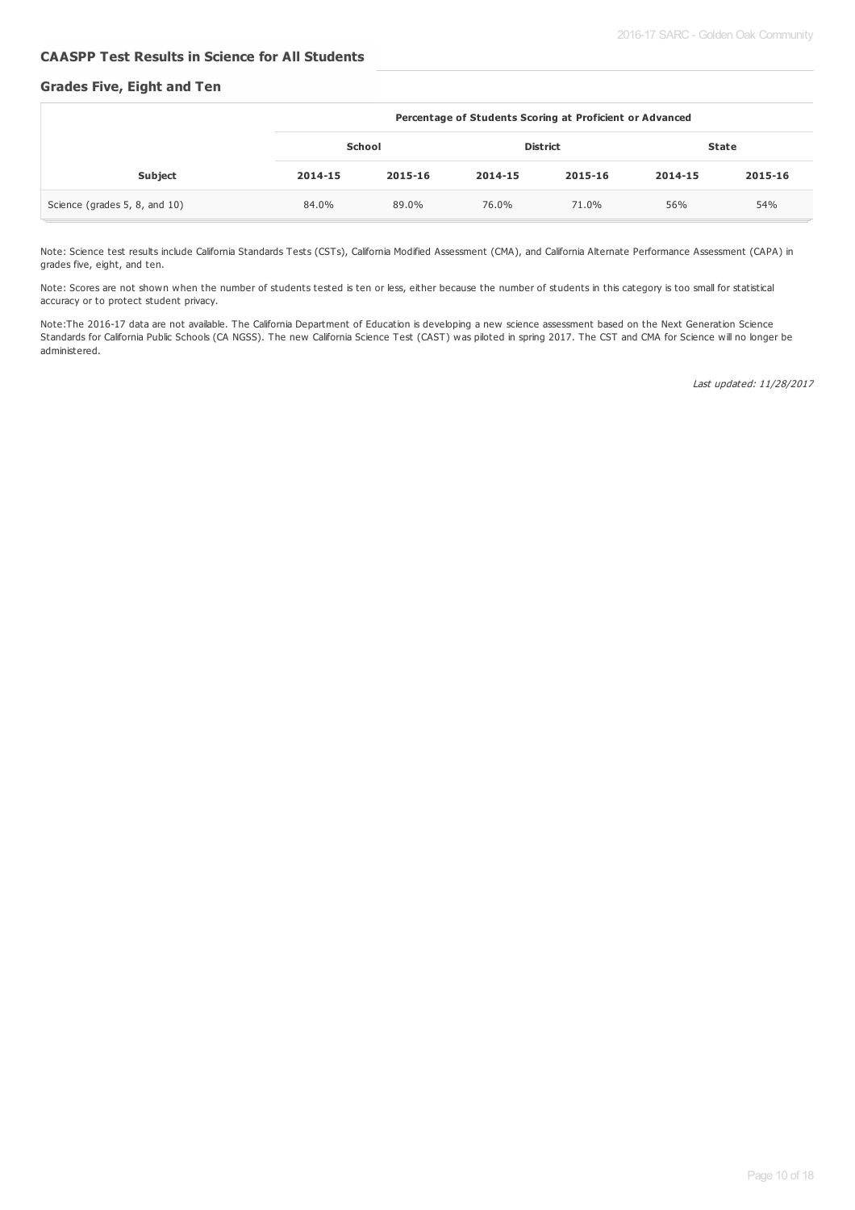#### **CAASPP Test Results in Science for All Students**

#### **Grades Five, Eight and Ten**

|                               | Percentage of Students Scoring at Proficient or Advanced |         |                 |         |              |         |
|-------------------------------|----------------------------------------------------------|---------|-----------------|---------|--------------|---------|
|                               | School                                                   |         | <b>District</b> |         | <b>State</b> |         |
| Subject                       | 2014-15                                                  | 2015-16 | 2014-15         | 2015-16 | 2014-15      | 2015-16 |
| Science (grades 5, 8, and 10) | 84.0%                                                    | 89.0%   | 76.0%           | 71.0%   | 56%          | 54%     |

Note: Science test results include California Standards Tests (CSTs), California Modified Assessment (CMA), and California Alternate Performance Assessment (CAPA) in grades five, eight, and ten.

Note: Scores are not shown when the number of students tested is ten or less, either because the number of students in this category is too small for statistical accuracy or to protect student privacy.

Note:The 2016-17 data are not available. The California Department of Education is developing a new science assessment based on the Next Generation Science Standards for California Public Schools (CA NGSS). The new California Science Test (CAST) was piloted in spring 2017. The CST and CMA for Science will no longer be administered.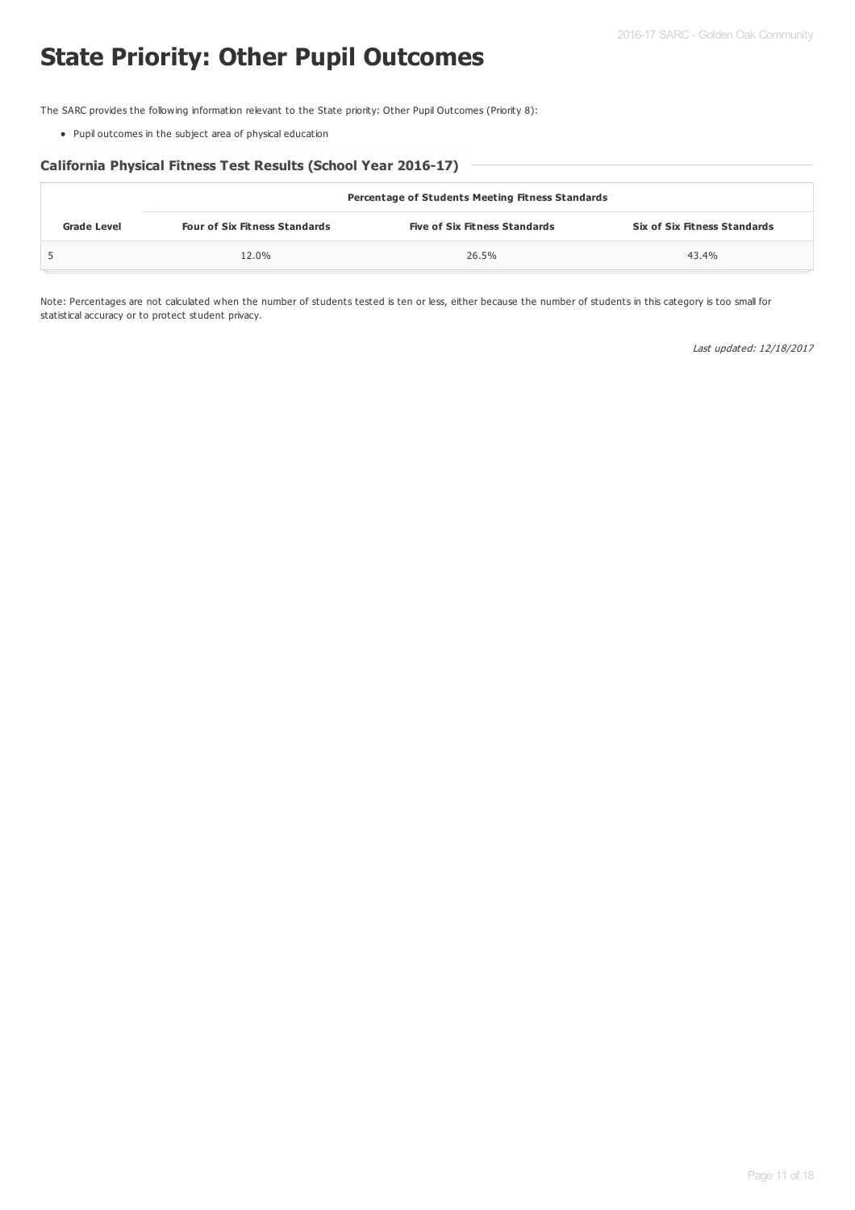# **State Priority: Other Pupil Outcomes**

The SARC provides the following information relevant to the State priority: Other Pupil Outcomes (Priority 8):

Pupil outcomes in the subject area of physical education

#### **California Physical Fitness Test Results (School Year 2016-17)**

|                    | <b>Percentage of Students Meeting Fitness Standards</b> |                                      |                                     |  |  |  |
|--------------------|---------------------------------------------------------|--------------------------------------|-------------------------------------|--|--|--|
| <b>Grade Level</b> | <b>Four of Six Fitness Standards</b>                    | <b>Five of Six Fitness Standards</b> | <b>Six of Six Fitness Standards</b> |  |  |  |
|                    | 12.0%                                                   | 26.5%                                | 43.4%                               |  |  |  |

Note: Percentages are not calculated when the number of students tested is ten or less, either because the number of students in this category is too small for statistical accuracy or to protect student privacy.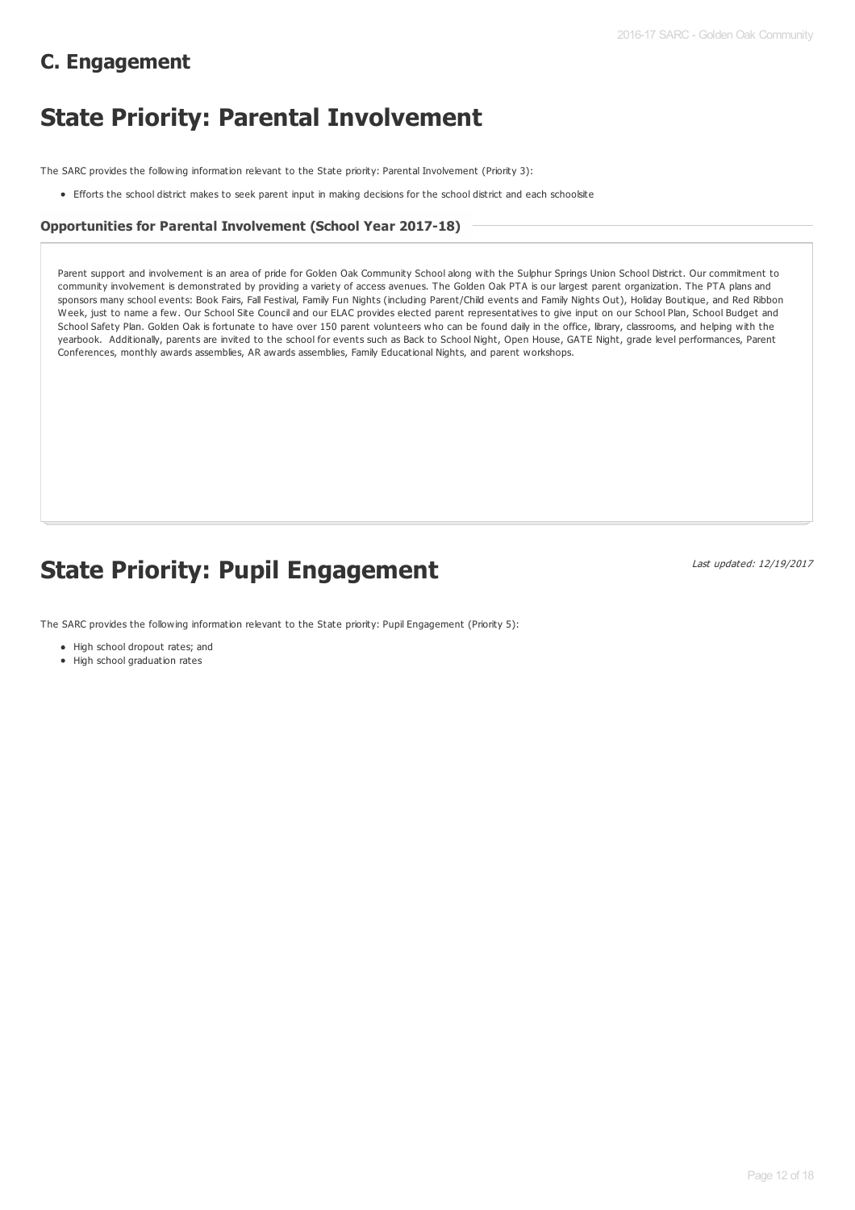# **C. Engagement**

# **State Priority: Parental Involvement**

The SARC provides the following information relevant to the State priority: Parental Involvement (Priority 3):

Efforts the school district makes to seek parent input in making decisions for the school district and each schoolsite

#### **Opportunities for Parental Involvement (School Year 2017-18)**

Parent support and involvement is an area of pride for Golden Oak Community School along with the Sulphur Springs Union School District. Our commitment to community involvement is demonstrated by providing a variety of access avenues. The Golden Oak PTA is our largest parent organization. The PTA plans and sponsors many school events: Book Fairs, Fall Festival, Family Fun Nights (including Parent/Child events and Family Nights Out), Holiday Boutique, and Red Ribbon Week, just to name a few. Our School Site Council and our ELAC provides elected parent representatives to give input on our School Plan, School Budget and School Safety Plan. Golden Oak is fortunate to have over 150 parent volunteers who can be found daily in the office, library, classrooms, and helping with the yearbook. Additionally, parents are invited to the school for events such as Back to School Night, Open House, GATE Night, grade level performances, Parent Conferences, monthly awards assemblies, AR awards assemblies, Family Educational Nights, and parent workshops.

# **State Priority: Pupil Engagement**

Last updated: 12/19/2017

The SARC provides the following information relevant to the State priority: Pupil Engagement (Priority 5):

- High school dropout rates; and
- High school graduation rates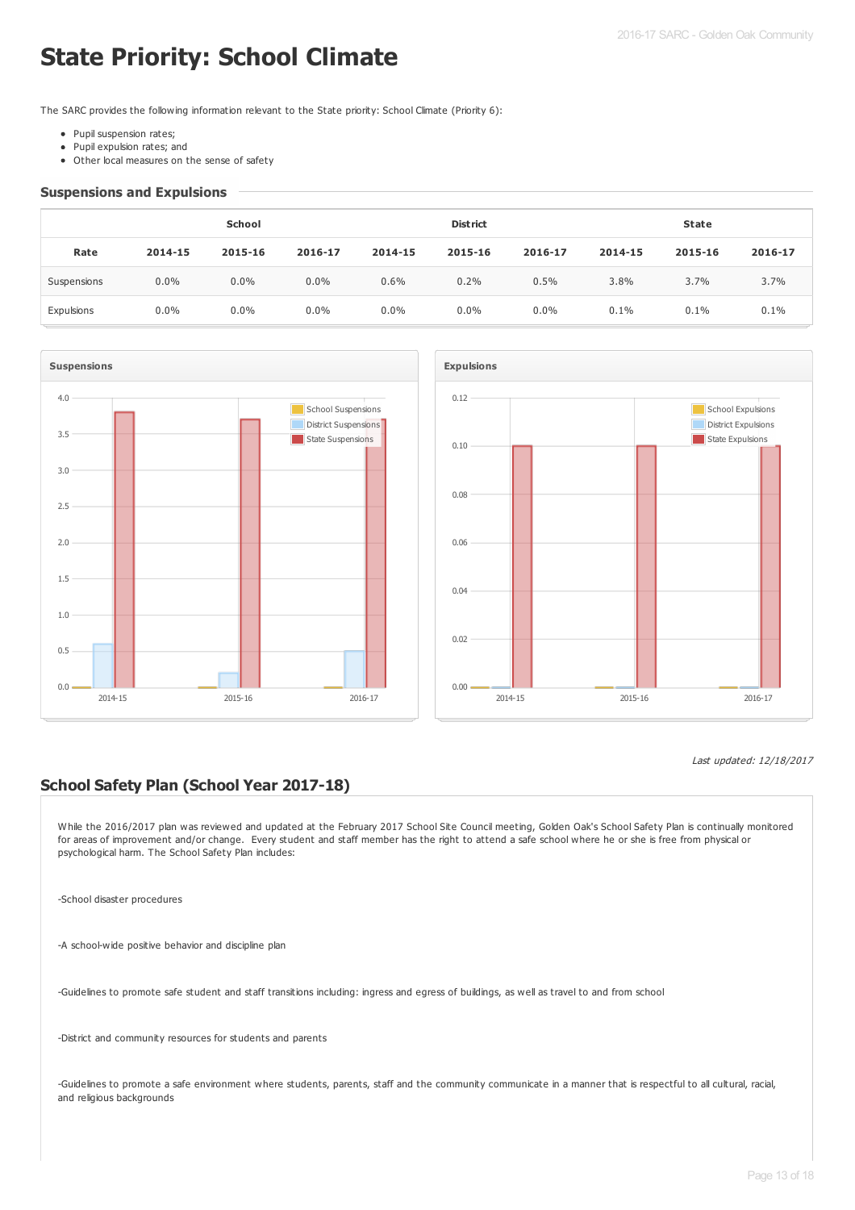# **State Priority: School Climate**

The SARC provides the following information relevant to the State priority: School Climate (Priority 6):

- Pupil suspension rates;
- Pupil expulsion rates; and  $\bullet$
- Other local measures on the sense of safety

#### **Suspensions and Expulsions**

|             | School  |         |         | <b>District</b> |         |         | <b>State</b> |         |         |
|-------------|---------|---------|---------|-----------------|---------|---------|--------------|---------|---------|
| Rate        | 2014-15 | 2015-16 | 2016-17 | 2014-15         | 2015-16 | 2016-17 | 2014-15      | 2015-16 | 2016-17 |
| Suspensions | $0.0\%$ | $0.0\%$ | $0.0\%$ | 0.6%            | 0.2%    | 0.5%    | 3.8%         | 3.7%    | $3.7\%$ |
| Expulsions  | $0.0\%$ | $0.0\%$ | $0.0\%$ | $0.0\%$         | $0.0\%$ | 0.0%    | 0.1%         | 0.1%    | 0.1%    |





#### Last updated: 12/18/2017

## **School Safety Plan (School Year 2017-18)**

While the 2016/2017 plan was reviewed and updated at the February 2017 School Site Council meeting, Golden Oak's School Safety Plan is continually monitored for areas of improvement and/or change. Every student and staff member has the right to attend a safe school where he or she is free from physical or psychological harm. The School Safety Plan includes:

-School disaster procedures

-A school-wide positive behavior and discipline plan

-Guidelines to promote safe student and staff transitions including: ingress and egress of buildings, as well as travel to and from school

-District and community resources for students and parents

-Guidelines to promote a safe environment where students, parents, staff and the community communicate in a manner that is respectful to all cultural, racial, and religious backgrounds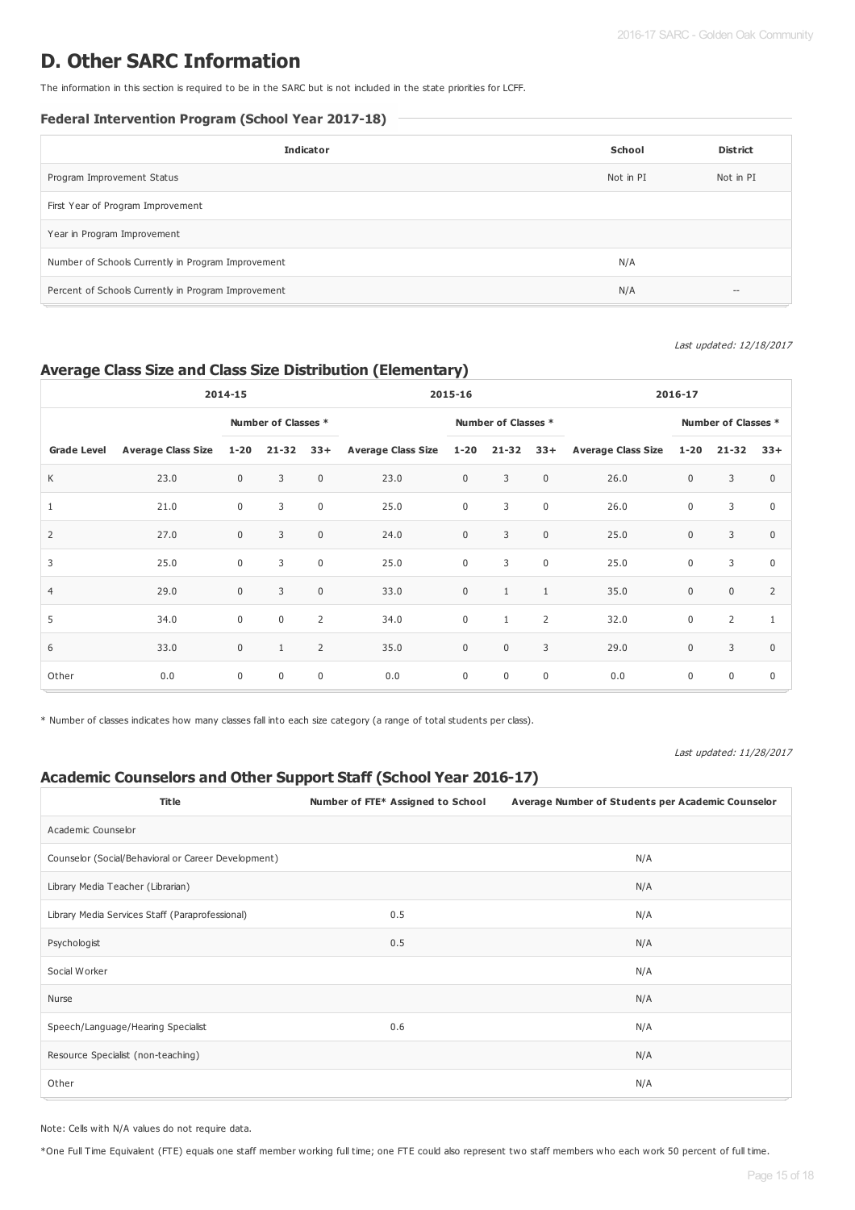# **D. Other SARC Information**

The information in this section is required to be in the SARC but is not included in the state priorities for LCFF.

### **Federal Intervention Program (School Year 2017-18)**

| <b>Indicator</b>                                    | School    | <b>District</b>                                |
|-----------------------------------------------------|-----------|------------------------------------------------|
| Program Improvement Status                          | Not in PI | Not in PI                                      |
| First Year of Program Improvement                   |           |                                                |
| Year in Program Improvement                         |           |                                                |
| Number of Schools Currently in Program Improvement  | N/A       |                                                |
| Percent of Schools Currently in Program Improvement | N/A       | $\hspace{0.1mm}-\hspace{0.1mm}-\hspace{0.1mm}$ |

#### Last updated: 12/18/2017

## **Average Class Size and Class Size Distribution (Elementary)**

| 2014-15            |                         |              |                     | 2015-16        |                               |                     | 2016-17      |                     |                        |             |                |                |
|--------------------|-------------------------|--------------|---------------------|----------------|-------------------------------|---------------------|--------------|---------------------|------------------------|-------------|----------------|----------------|
|                    |                         |              | Number of Classes * |                |                               | Number of Classes * |              | Number of Classes * |                        |             |                |                |
| <b>Grade Level</b> | Average Class Size 1-20 |              | $21 - 32$           | $33+$          | Average Class Size 1-20 21-32 |                     |              |                     | 33+ Average Class Size | $1 - 20$    | $21-32$ $33+$  |                |
| K                  | 23.0                    | $\mathbf{0}$ | 3                   | $\mathbf 0$    | 23.0                          | $\mathbf 0$         | 3            | $\mathbf 0$         | 26.0                   | $\mathbf 0$ | 3              | $\mathbf 0$    |
| $\mathbf{1}$       | 21.0                    | $\mathbf 0$  | 3                   | $\mathbf 0$    | 25.0                          | $\mathbf 0$         | 3            | $\mathbb O$         | 26.0                   | $\mathbf 0$ | 3              | $\mathbf 0$    |
| $\overline{2}$     | 27.0                    | $\mathbf{0}$ | 3                   | $\mathbf{0}$   | 24.0                          | $\mathbf 0$         | 3            | $\mathbb O$         | 25.0                   | $\mathbf 0$ | 3              | $\mathbf 0$    |
| 3                  | 25.0                    | $\mathbf 0$  | 3                   | $\mathbf 0$    | 25.0                          | $\mathbf 0$         | 3            | $\mathbb O$         | 25.0                   | $\mathbf 0$ | 3              | $\mathbf 0$    |
| $\overline{4}$     | 29.0                    | $\mathbf 0$  | 3                   | $\mathbf{0}$   | 33.0                          | $\mathbf 0$         | $\mathbf{1}$ | $\mathbf{1}$        | 35.0                   | $\mathbf 0$ | $\mathbf 0$    | $\overline{2}$ |
| 5                  | 34.0                    | $\mathbf 0$  | $\mathbf 0$         | $\overline{2}$ | 34.0                          | $\mathbf 0$         | $\mathbf{1}$ | $\overline{2}$      | 32.0                   | $\mathbf 0$ | $\overline{2}$ | $\mathbf{1}$   |
| 6                  | 33.0                    | $\mathbf{0}$ | $\mathbf{1}$        | $\overline{2}$ | 35.0                          | $\mathbf 0$         | $\mathbf 0$  | 3                   | 29.0                   | $\mathbf 0$ | 3              | $\mathbf 0$    |
| Other              | 0.0                     | $\mathbf 0$  | $\mathbf 0$         | $\mathbf 0$    | 0.0                           | $\mathbf 0$         | $\mathbf 0$  | $\mathbf 0$         | 0.0                    | $\mathbf 0$ | $\mathbf 0$    | $\mathbf 0$    |

\* Number of classes indicates how many classes fall into each size category (a range of total students per class).

#### Last updated: 11/28/2017

# **Academic Counselors and Other Support Staff (School Year 2016-17)**

| <b>Title</b>                                        | Number of FTE* Assigned to School | Average Number of Students per Academic Counselor |
|-----------------------------------------------------|-----------------------------------|---------------------------------------------------|
| Academic Counselor                                  |                                   |                                                   |
| Counselor (Social/Behavioral or Career Development) |                                   | N/A                                               |
| Library Media Teacher (Librarian)                   |                                   | N/A                                               |
| Library Media Services Staff (Paraprofessional)     | 0.5                               | N/A                                               |
| Psychologist                                        | 0.5                               | N/A                                               |
| Social Worker                                       |                                   | N/A                                               |
| Nurse                                               |                                   | N/A                                               |
| Speech/Language/Hearing Specialist                  | 0.6                               | N/A                                               |
| Resource Specialist (non-teaching)                  |                                   | N/A                                               |
| Other                                               |                                   | N/A                                               |

Note: Cells with N/A values do not require data.

\*One Full Time Equivalent (FTE) equals one staff member working full time; one FTE could also represent two staff members who each work 50 percent of full time.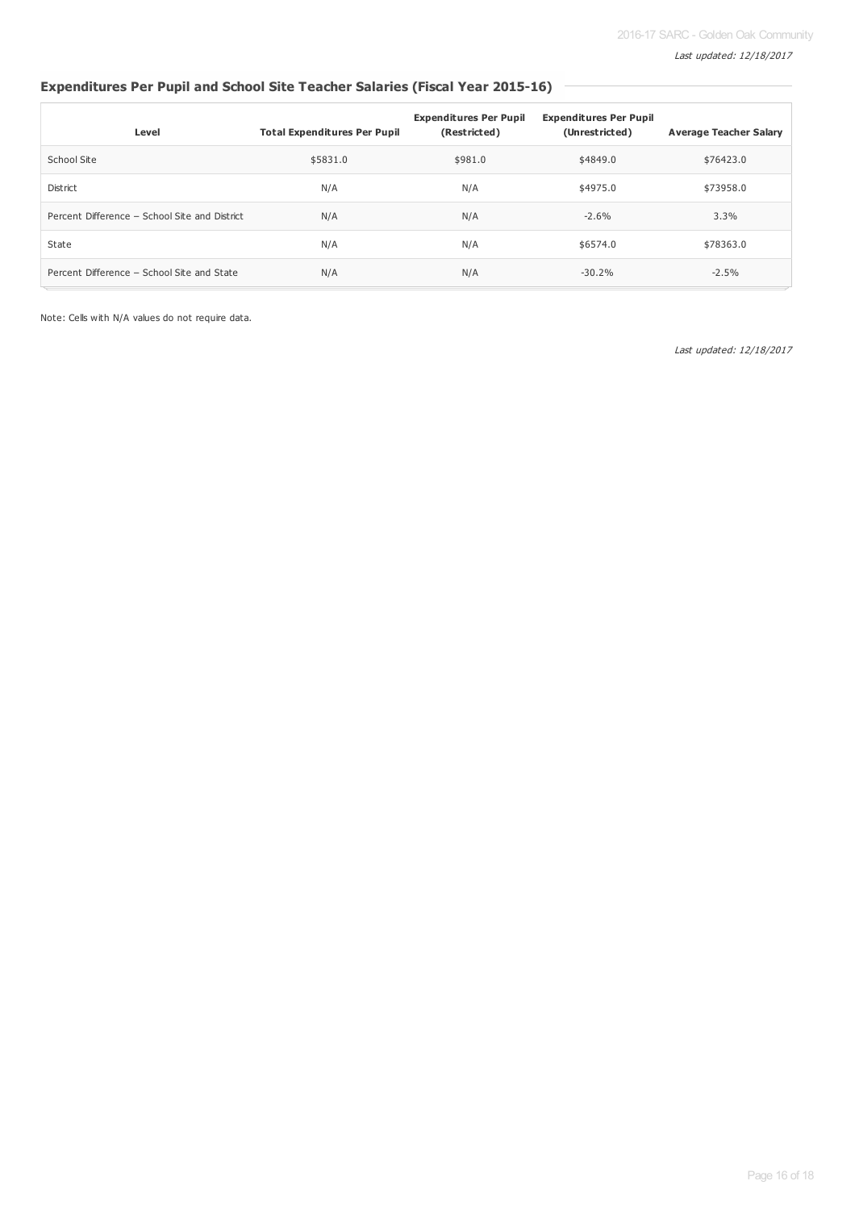# **Expenditures Per Pupil and School Site Teacher Salaries (Fiscal Year 2015-16)**

| Level                                         | <b>Total Expenditures Per Pupil</b> | <b>Expenditures Per Pupil</b><br>(Restricted) | <b>Expenditures Per Pupil</b><br>(Unrestricted) | <b>Average Teacher Salary</b> |
|-----------------------------------------------|-------------------------------------|-----------------------------------------------|-------------------------------------------------|-------------------------------|
| School Site                                   | \$5831.0                            | \$981.0                                       | \$4849.0                                        | \$76423.0                     |
| District                                      | N/A                                 | N/A                                           | \$4975.0                                        | \$73958.0                     |
| Percent Difference - School Site and District | N/A                                 | N/A                                           | $-2.6%$                                         | 3.3%                          |
| State                                         | N/A                                 | N/A                                           | \$6574.0                                        | \$78363.0                     |
| Percent Difference - School Site and State    | N/A                                 | N/A                                           | $-30.2%$                                        | $-2.5%$                       |

Note: Cells with N/A values do not require data.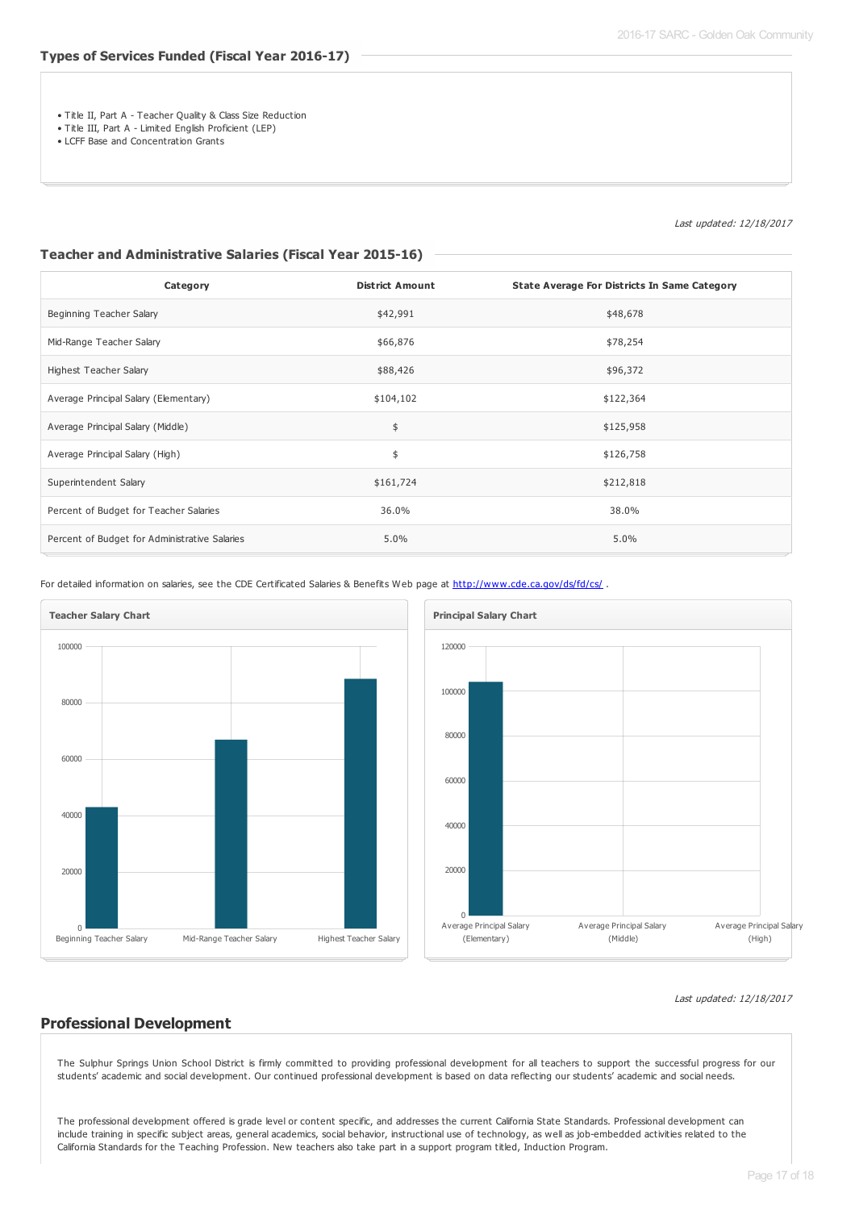- Title II, Part A Teacher Quality & Class Size Reduction
- Title III, Part A Limited English Proficient (LEP)
- LCFF Base and Concentration Grants

Last updated: 12/18/2017

#### **Teacher and Administrative Salaries (Fiscal Year 2015-16)**

| Category                                      | <b>District Amount</b> | <b>State Average For Districts In Same Category</b> |
|-----------------------------------------------|------------------------|-----------------------------------------------------|
| Beginning Teacher Salary                      | \$42,991               | \$48,678                                            |
| Mid-Range Teacher Salary                      | \$66,876               | \$78,254                                            |
| Highest Teacher Salary                        | \$88,426               | \$96,372                                            |
| Average Principal Salary (Elementary)         | \$104,102              | \$122,364                                           |
| Average Principal Salary (Middle)             | \$                     | \$125,958                                           |
| Average Principal Salary (High)               | \$                     | \$126,758                                           |
| Superintendent Salary                         | \$161,724              | \$212,818                                           |
| Percent of Budget for Teacher Salaries        | 36.0%                  | 38.0%                                               |
| Percent of Budget for Administrative Salaries | 5.0%                   | 5.0%                                                |

For detailed information on salaries, see the CDE Certificated Salaries & Benefits Web page at <http://www.cde.ca.gov/ds/fd/cs/> .





#### Last updated: 12/18/2017

#### **Professional Development**

The Sulphur Springs Union School District is firmly committed to providing professional development for all teachers to support the successful progress for our students' academic and social development. Our continued professional development is based on data reflecting our students' academic and social needs.

The professional development offered is grade level or content specific, and addresses the current California State Standards. Professional development can include training in specific subject areas, general academics, social behavior, instructional use of technology, as well as job-embedded activities related to the California Standards for the Teaching Profession. New teachers also take part in a support program titled, Induction Program.